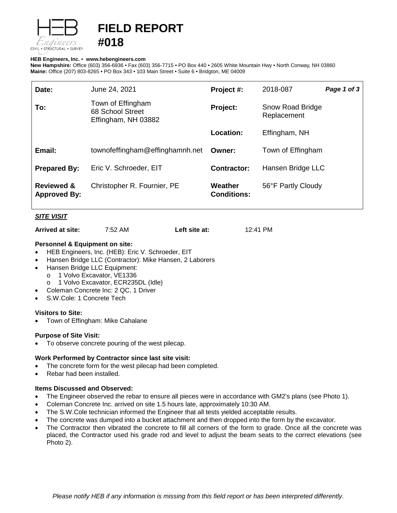

# **FIELD REPORT #018**

## **HEB Engineers, Inc.** • **[www.hebengineer](http://www.hebengineers.com/)s.com**

**New Hampshire:** Office (603) 356-6936 • Fax (603) 356-7715 • PO Box 440 • 2605 White Mountain Hwy • North Conway, NH 03860 **Maine:** Office (207) 803-8265 • PO Box 343 • 103 Main Street • Suite 6 • Bridgton, ME 04009

| Date:                                        | June 24, 2021                                                | Project #:                    | 2018-087                        | Page 1 of 3 |
|----------------------------------------------|--------------------------------------------------------------|-------------------------------|---------------------------------|-------------|
| To:                                          | Town of Effingham<br>68 School Street<br>Effingham, NH 03882 | Project:                      | Snow Road Bridge<br>Replacement |             |
|                                              |                                                              | Location:                     | Effingham, NH                   |             |
| Email:                                       | townofeffingham@effinghamnh.net                              | Owner:                        | Town of Effingham               |             |
| <b>Prepared By:</b>                          | Eric V. Schroeder, EIT                                       | <b>Contractor:</b>            | Hansen Bridge LLC               |             |
| <b>Reviewed &amp;</b><br><b>Approved By:</b> | Christopher R. Fournier, PE                                  | Weather<br><b>Conditions:</b> | 56°F Partly Cloudy              |             |

# *SITE VISIT*

| Arrived at site: | 7:52 AM | Left site at: | 12:41 PM |
|------------------|---------|---------------|----------|
|------------------|---------|---------------|----------|

## **Personnel & Equipment on site:**

- HEB Engineers, Inc. (HEB): Eric V. Schroeder, EIT
- Hansen Bridge LLC (Contractor): Mike Hansen, 2 Laborers
- Hansen Bridge LLC Equipment:
	- o 1 Volvo Excavator, VE1336
	- o 1 Volvo Excavator, ECR235DL (Idle)
- Coleman Concrete Inc: 2 QC, 1 Driver
- S.W.Cole: 1 Concrete Tech

## **Visitors to Site:**

• Town of Effingham: Mike Cahalane

# **Purpose of Site Visit:**

To observe concrete pouring of the west pilecap.

## **Work Performed by Contractor since last site visit:**

- The concrete form for the west pilecap had been completed.
- Rebar had been installed.

## **Items Discussed and Observed:**

- The Engineer observed the rebar to ensure all pieces were in accordance with GM2's plans (see Photo 1).
- Coleman Concrete Inc. arrived on site 1.5 hours late, approximately 10:30 AM.
- The S.W.Cole technician informed the Engineer that all tests yielded acceptable results.
- The concrete was dumped into a bucket attachment and then dropped into the form by the excavator.
- The Contractor then vibrated the concrete to fill all corners of the form to grade. Once all the concrete was placed, the Contractor used his grade rod and level to adjust the beam seats to the correct elevations (see Photo 2).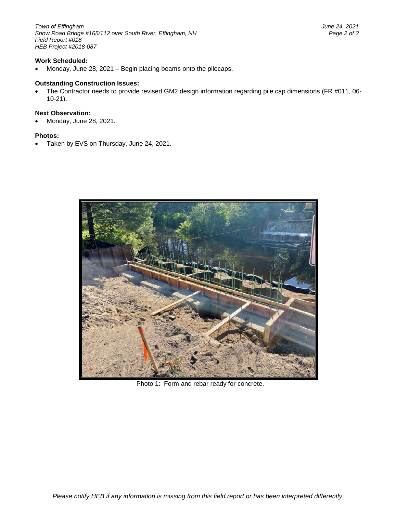*Town of Effingham June 24, 2021 Snow Road Bridge #165/112 over South River, Effingham, NH Page 2 of 3 Field Report #018 HEB Project #2018-087*

## **Work Scheduled:**

• Monday, June 28, 2021 – Begin placing beams onto the pilecaps.

#### **Outstanding Construction Issues:**

• The Contractor needs to provide revised GM2 design information regarding pile cap dimensions (FR #011, 06- 10-21).

#### **Next Observation:**

• Monday, June 28, 2021.

#### **Photos:**

• Taken by EVS on Thursday, June 24, 2021.



Photo 1: Form and rebar ready for concrete.